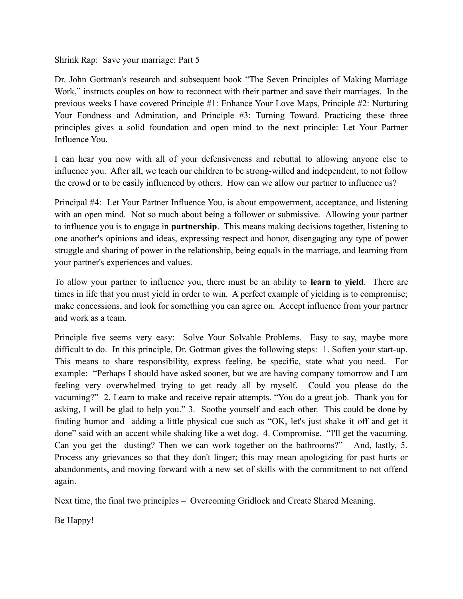Shrink Rap: Save your marriage: Part 5

Dr. John Gottman's research and subsequent book "The Seven Principles of Making Marriage Work," instructs couples on how to reconnect with their partner and save their marriages. In the previous weeks I have covered Principle #1: Enhance Your Love Maps, Principle #2: Nurturing Your Fondness and Admiration, and Principle #3: Turning Toward. Practicing these three principles gives a solid foundation and open mind to the next principle: Let Your Partner Influence You.

I can hear you now with all of your defensiveness and rebuttal to allowing anyone else to influence you. After all, we teach our children to be strong-willed and independent, to not follow the crowd or to be easily influenced by others. How can we allow our partner to influence us?

Principal #4: Let Your Partner Influence You, is about empowerment, acceptance, and listening with an open mind. Not so much about being a follower or submissive. Allowing your partner to influence you is to engage in **partnership**. This means making decisions together, listening to one another's opinions and ideas, expressing respect and honor, disengaging any type of power struggle and sharing of power in the relationship, being equals in the marriage, and learning from your partner's experiences and values.

To allow your partner to influence you, there must be an ability to **learn to yield**. There are times in life that you must yield in order to win. A perfect example of yielding is to compromise; make concessions, and look for something you can agree on. Accept influence from your partner and work as a team.

Principle five seems very easy: Solve Your Solvable Problems. Easy to say, maybe more difficult to do. In this principle, Dr. Gottman gives the following steps: 1. Soften your start-up. This means to share responsibility, express feeling, be specific, state what you need. For example: "Perhaps I should have asked sooner, but we are having company tomorrow and I am feeling very overwhelmed trying to get ready all by myself. Could you please do the vacuming?" 2. Learn to make and receive repair attempts. "You do a great job. Thank you for asking, I will be glad to help you." 3. Soothe yourself and each other. This could be done by finding humor and adding a little physical cue such as "OK, let's just shake it off and get it done" said with an accent while shaking like a wet dog. 4. Compromise. "I'll get the vacuming. Can you get the dusting? Then we can work together on the bathrooms?" And, lastly, 5. Process any grievances so that they don't linger; this may mean apologizing for past hurts or abandonments, and moving forward with a new set of skills with the commitment to not offend again.

Next time, the final two principles – Overcoming Gridlock and Create Shared Meaning.

Be Happy!